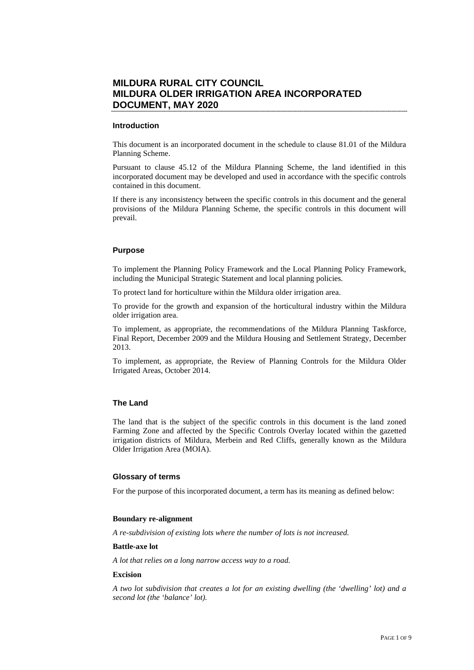# **MILDURA RURAL CITY COUNCIL MILDURA OLDER IRRIGATION AREA INCORPORATED DOCUMENT, MAY 2020**

#### **Introduction**

This document is an incorporated document in the schedule to clause 81.01 of the Mildura Planning Scheme.

Pursuant to clause 45.12 of the Mildura Planning Scheme, the land identified in this incorporated document may be developed and used in accordance with the specific controls contained in this document.

If there is any inconsistency between the specific controls in this document and the general provisions of the Mildura Planning Scheme, the specific controls in this document will prevail.

#### **Purpose**

To implement the Planning Policy Framework and the Local Planning Policy Framework, including the Municipal Strategic Statement and local planning policies.

To protect land for horticulture within the Mildura older irrigation area.

To provide for the growth and expansion of the horticultural industry within the Mildura older irrigation area.

To implement, as appropriate, the recommendations of the Mildura Planning Taskforce, Final Report, December 2009 and the Mildura Housing and Settlement Strategy, December 2013.

To implement, as appropriate, the Review of Planning Controls for the Mildura Older Irrigated Areas, October 2014.

## **The Land**

The land that is the subject of the specific controls in this document is the land zoned Farming Zone and affected by the Specific Controls Overlay located within the gazetted irrigation districts of Mildura, Merbein and Red Cliffs, generally known as the Mildura Older Irrigation Area (MOIA).

#### **Glossary of terms**

For the purpose of this incorporated document, a term has its meaning as defined below:

#### **Boundary re-alignment**

*A re-subdivision of existing lots where the number of lots is not increased.* 

#### **Battle-axe lot**

*A lot that relies on a long narrow access way to a road.* 

## **Excision**

*A two lot subdivision that creates a lot for an existing dwelling (the 'dwelling' lot) and a second lot (the 'balance' lot).*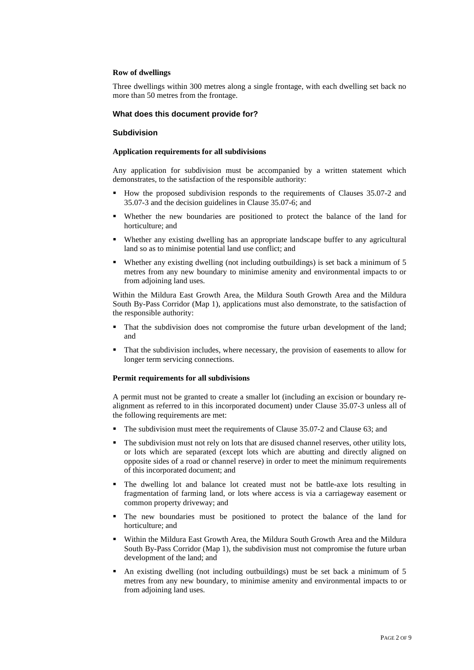#### **Row of dwellings**

Three dwellings within 300 metres along a single frontage, with each dwelling set back no more than 50 metres from the frontage.

## **What does this document provide for?**

## **Subdivision**

#### **Application requirements for all subdivisions**

Any application for subdivision must be accompanied by a written statement which demonstrates, to the satisfaction of the responsible authority:

- How the proposed subdivision responds to the requirements of Clauses 35.07-2 and 35.07-3 and the decision guidelines in Clause 35.07-6; and
- Whether the new boundaries are positioned to protect the balance of the land for horticulture; and
- Whether any existing dwelling has an appropriate landscape buffer to any agricultural land so as to minimise potential land use conflict; and
- Whether any existing dwelling (not including outbuildings) is set back a minimum of 5 metres from any new boundary to minimise amenity and environmental impacts to or from adjoining land uses.

Within the Mildura East Growth Area, the Mildura South Growth Area and the Mildura South By-Pass Corridor (Map 1), applications must also demonstrate, to the satisfaction of the responsible authority:

- That the subdivision does not compromise the future urban development of the land; and
- That the subdivision includes, where necessary, the provision of easements to allow for longer term servicing connections.

#### **Permit requirements for all subdivisions**

A permit must not be granted to create a smaller lot (including an excision or boundary realignment as referred to in this incorporated document) under Clause 35.07-3 unless all of the following requirements are met:

- The subdivision must meet the requirements of Clause 35.07-2 and Clause 63; and
- The subdivision must not rely on lots that are disused channel reserves, other utility lots, or lots which are separated (except lots which are abutting and directly aligned on opposite sides of a road or channel reserve) in order to meet the minimum requirements of this incorporated document; and
- The dwelling lot and balance lot created must not be battle-axe lots resulting in fragmentation of farming land, or lots where access is via a carriageway easement or common property driveway; and
- The new boundaries must be positioned to protect the balance of the land for horticulture; and
- Within the Mildura East Growth Area, the Mildura South Growth Area and the Mildura South By-Pass Corridor (Map 1), the subdivision must not compromise the future urban development of the land; and
- An existing dwelling (not including outbuildings) must be set back a minimum of 5 metres from any new boundary, to minimise amenity and environmental impacts to or from adjoining land uses.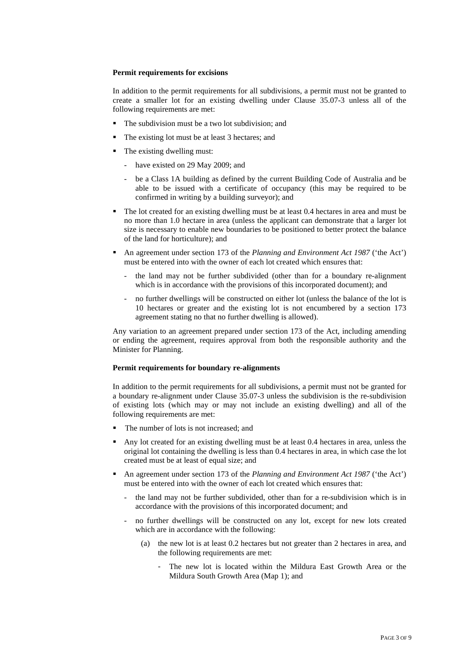#### **Permit requirements for excisions**

In addition to the permit requirements for all subdivisions, a permit must not be granted to create a smaller lot for an existing dwelling under Clause 35.07-3 unless all of the following requirements are met:

- The subdivision must be a two lot subdivision; and
- The existing lot must be at least 3 hectares; and
- The existing dwelling must:
	- have existed on 29 May 2009; and
	- be a Class 1A building as defined by the current Building Code of Australia and be able to be issued with a certificate of occupancy (this may be required to be confirmed in writing by a building surveyor); and
- The lot created for an existing dwelling must be at least 0.4 hectares in area and must be no more than 1.0 hectare in area (unless the applicant can demonstrate that a larger lot size is necessary to enable new boundaries to be positioned to better protect the balance of the land for horticulture); and
- An agreement under section 173 of the *Planning and Environment Act 1987* ('the Act') must be entered into with the owner of each lot created which ensures that:
	- the land may not be further subdivided (other than for a boundary re-alignment which is in accordance with the provisions of this incorporated document); and
	- no further dwellings will be constructed on either lot (unless the balance of the lot is 10 hectares or greater and the existing lot is not encumbered by a section 173 agreement stating no that no further dwelling is allowed).

Any variation to an agreement prepared under section 173 of the Act, including amending or ending the agreement, requires approval from both the responsible authority and the Minister for Planning.

#### **Permit requirements for boundary re-alignments**

In addition to the permit requirements for all subdivisions, a permit must not be granted for a boundary re-alignment under Clause 35.07-3 unless the subdivision is the re-subdivision of existing lots (which may or may not include an existing dwelling) and all of the following requirements are met:

- The number of lots is not increased; and
- Any lot created for an existing dwelling must be at least 0.4 hectares in area, unless the original lot containing the dwelling is less than 0.4 hectares in area, in which case the lot created must be at least of equal size; and
- An agreement under section 173 of the *Planning and Environment Act 1987* ('the Act') must be entered into with the owner of each lot created which ensures that:
	- the land may not be further subdivided, other than for a re-subdivision which is in accordance with the provisions of this incorporated document; and
	- no further dwellings will be constructed on any lot, except for new lots created which are in accordance with the following:
		- (a) the new lot is at least 0.2 hectares but not greater than 2 hectares in area, and the following requirements are met:
			- The new lot is located within the Mildura East Growth Area or the Mildura South Growth Area (Map 1); and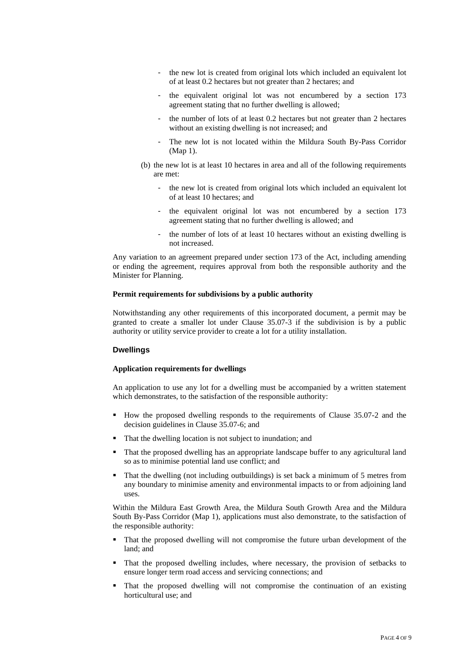- the new lot is created from original lots which included an equivalent lot of at least 0.2 hectares but not greater than 2 hectares; and
- the equivalent original lot was not encumbered by a section 173 agreement stating that no further dwelling is allowed;
- the number of lots of at least 0.2 hectares but not greater than 2 hectares without an existing dwelling is not increased; and
- The new lot is not located within the Mildura South By-Pass Corridor (Map 1).
- (b) the new lot is at least 10 hectares in area and all of the following requirements are met:
	- the new lot is created from original lots which included an equivalent lot of at least 10 hectares; and
	- the equivalent original lot was not encumbered by a section 173 agreement stating that no further dwelling is allowed; and
	- the number of lots of at least 10 hectares without an existing dwelling is not increased.

Any variation to an agreement prepared under section 173 of the Act, including amending or ending the agreement, requires approval from both the responsible authority and the Minister for Planning.

#### **Permit requirements for subdivisions by a public authority**

Notwithstanding any other requirements of this incorporated document, a permit may be granted to create a smaller lot under Clause 35.07-3 if the subdivision is by a public authority or utility service provider to create a lot for a utility installation.

#### **Dwellings**

#### **Application requirements for dwellings**

An application to use any lot for a dwelling must be accompanied by a written statement which demonstrates, to the satisfaction of the responsible authority:

- How the proposed dwelling responds to the requirements of Clause 35.07-2 and the decision guidelines in Clause 35.07-6; and
- That the dwelling location is not subject to inundation; and
- That the proposed dwelling has an appropriate landscape buffer to any agricultural land so as to minimise potential land use conflict; and
- That the dwelling (not including outbuildings) is set back a minimum of 5 metres from any boundary to minimise amenity and environmental impacts to or from adjoining land uses.

Within the Mildura East Growth Area, the Mildura South Growth Area and the Mildura South By-Pass Corridor (Map 1), applications must also demonstrate, to the satisfaction of the responsible authority:

- That the proposed dwelling will not compromise the future urban development of the land; and
- That the proposed dwelling includes, where necessary, the provision of setbacks to ensure longer term road access and servicing connections; and
- That the proposed dwelling will not compromise the continuation of an existing horticultural use; and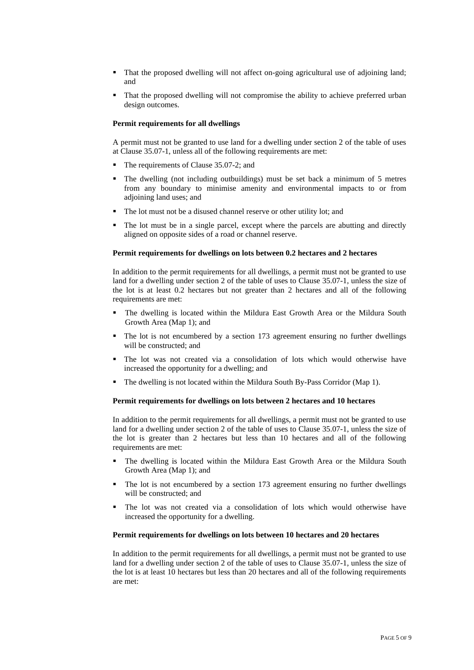- That the proposed dwelling will not affect on-going agricultural use of adjoining land; and
- That the proposed dwelling will not compromise the ability to achieve preferred urban design outcomes.

#### **Permit requirements for all dwellings**

A permit must not be granted to use land for a dwelling under section 2 of the table of uses at Clause 35.07-1, unless all of the following requirements are met:

- The requirements of Clause 35.07-2; and
- The dwelling (not including outbuildings) must be set back a minimum of 5 metres from any boundary to minimise amenity and environmental impacts to or from adjoining land uses; and
- The lot must not be a disused channel reserve or other utility lot; and
- The lot must be in a single parcel, except where the parcels are abutting and directly aligned on opposite sides of a road or channel reserve.

#### **Permit requirements for dwellings on lots between 0.2 hectares and 2 hectares**

In addition to the permit requirements for all dwellings, a permit must not be granted to use land for a dwelling under section 2 of the table of uses to Clause 35.07-1, unless the size of the lot is at least 0.2 hectares but not greater than 2 hectares and all of the following requirements are met:

- The dwelling is located within the Mildura East Growth Area or the Mildura South Growth Area (Map 1); and
- The lot is not encumbered by a section 173 agreement ensuring no further dwellings will be constructed; and
- The lot was not created via a consolidation of lots which would otherwise have increased the opportunity for a dwelling; and
- The dwelling is not located within the Mildura South By-Pass Corridor (Map 1).

#### **Permit requirements for dwellings on lots between 2 hectares and 10 hectares**

In addition to the permit requirements for all dwellings, a permit must not be granted to use land for a dwelling under section 2 of the table of uses to Clause 35.07-1, unless the size of the lot is greater than 2 hectares but less than 10 hectares and all of the following requirements are met:

- The dwelling is located within the Mildura East Growth Area or the Mildura South Growth Area (Map 1); and
- The lot is not encumbered by a section 173 agreement ensuring no further dwellings will be constructed; and
- The lot was not created via a consolidation of lots which would otherwise have increased the opportunity for a dwelling.

#### **Permit requirements for dwellings on lots between 10 hectares and 20 hectares**

In addition to the permit requirements for all dwellings, a permit must not be granted to use land for a dwelling under section 2 of the table of uses to Clause 35.07-1, unless the size of the lot is at least 10 hectares but less than 20 hectares and all of the following requirements are met: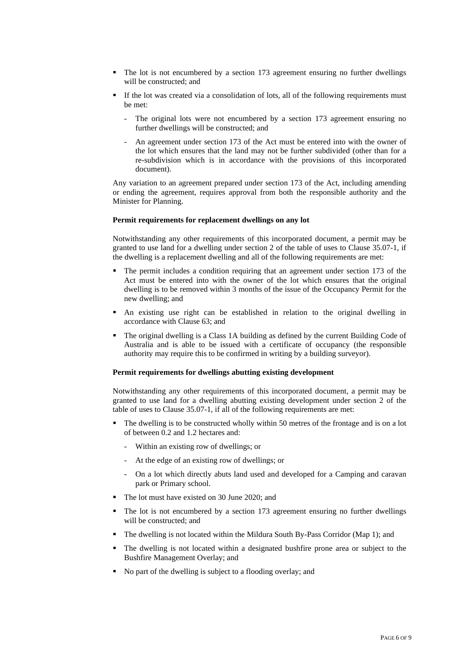- The lot is not encumbered by a section 173 agreement ensuring no further dwellings will be constructed; and
- If the lot was created via a consolidation of lots, all of the following requirements must be met:
	- The original lots were not encumbered by a section 173 agreement ensuring no further dwellings will be constructed; and
	- An agreement under section 173 of the Act must be entered into with the owner of the lot which ensures that the land may not be further subdivided (other than for a re-subdivision which is in accordance with the provisions of this incorporated document).

Any variation to an agreement prepared under section 173 of the Act, including amending or ending the agreement, requires approval from both the responsible authority and the Minister for Planning.

### **Permit requirements for replacement dwellings on any lot**

Notwithstanding any other requirements of this incorporated document, a permit may be granted to use land for a dwelling under section 2 of the table of uses to Clause 35.07-1, if the dwelling is a replacement dwelling and all of the following requirements are met:

- The permit includes a condition requiring that an agreement under section 173 of the Act must be entered into with the owner of the lot which ensures that the original dwelling is to be removed within 3 months of the issue of the Occupancy Permit for the new dwelling; and
- An existing use right can be established in relation to the original dwelling in accordance with Clause 63; and
- The original dwelling is a Class 1A building as defined by the current Building Code of Australia and is able to be issued with a certificate of occupancy (the responsible authority may require this to be confirmed in writing by a building surveyor).

#### **Permit requirements for dwellings abutting existing development**

Notwithstanding any other requirements of this incorporated document, a permit may be granted to use land for a dwelling abutting existing development under section 2 of the table of uses to Clause 35.07-1, if all of the following requirements are met:

- The dwelling is to be constructed wholly within 50 metres of the frontage and is on a lot of between 0.2 and 1.2 hectares and:
	- Within an existing row of dwellings; or
	- At the edge of an existing row of dwellings; or
	- On a lot which directly abuts land used and developed for a Camping and caravan park or Primary school.
- The lot must have existed on 30 June 2020; and
- The lot is not encumbered by a section 173 agreement ensuring no further dwellings will be constructed; and
- The dwelling is not located within the Mildura South By-Pass Corridor (Map 1); and
- The dwelling is not located within a designated bushfire prone area or subject to the Bushfire Management Overlay; and
- No part of the dwelling is subject to a flooding overlay; and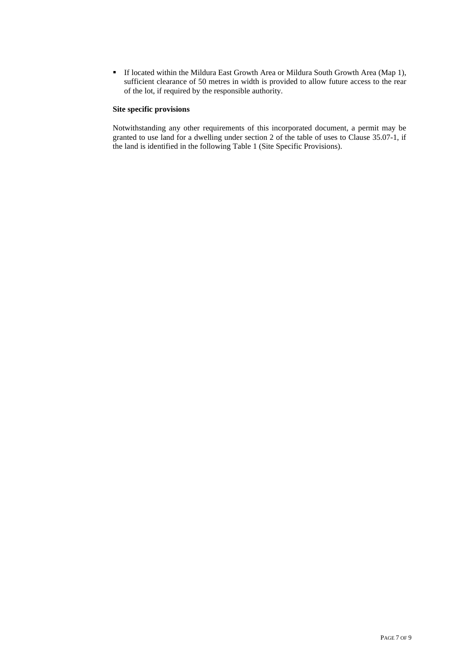If located within the Mildura East Growth Area or Mildura South Growth Area (Map 1), sufficient clearance of 50 metres in width is provided to allow future access to the rear of the lot, if required by the responsible authority.

## **Site specific provisions**

Notwithstanding any other requirements of this incorporated document, a permit may be granted to use land for a dwelling under section 2 of the table of uses to Clause 35.07-1, if the land is identified in the following Table 1 (Site Specific Provisions).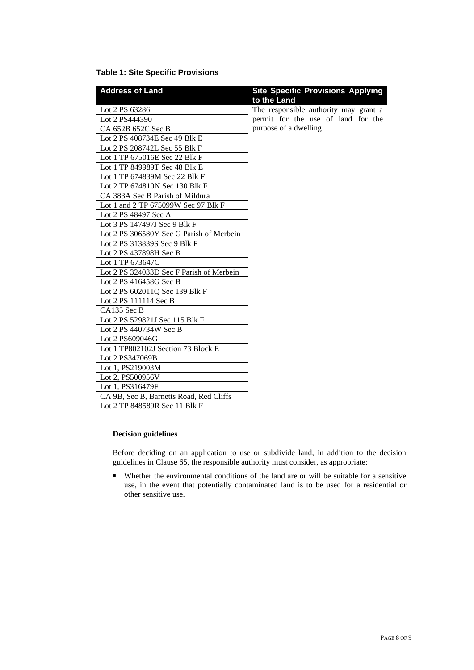## **Table 1: Site Specific Provisions**

| <b>Address of Land</b>                   | <b>Site Specific Provisions Applying</b> |
|------------------------------------------|------------------------------------------|
|                                          | to the Land                              |
| Lot 2 PS 63286                           | The responsible authority may grant a    |
| Lot 2 PS444390                           | permit for the use of land for the       |
| CA 652B 652C Sec B                       | purpose of a dwelling                    |
| Lot 2 PS 408734E Sec 49 Blk E            |                                          |
| Lot 2 PS 208742L Sec 55 Blk F            |                                          |
| Lot 1 TP 675016E Sec 22 Blk F            |                                          |
| Lot 1 TP 849989T Sec 48 Blk E            |                                          |
| Lot 1 TP 674839M Sec 22 Blk F            |                                          |
| Lot 2 TP 674810N Sec 130 Blk F           |                                          |
| CA 383A Sec B Parish of Mildura          |                                          |
| Lot 1 and 2 TP 675099W Sec 97 Blk F      |                                          |
| Lot 2 PS 48497 Sec A                     |                                          |
| Lot 3 PS 147497J Sec 9 Blk F             |                                          |
| Lot 2 PS 306580Y Sec G Parish of Merbein |                                          |
| Lot 2 PS 313839S Sec 9 Blk F             |                                          |
| Lot 2 PS 437898H Sec B                   |                                          |
| Lot 1 TP 673647C                         |                                          |
| Lot 2 PS 324033D Sec F Parish of Merbein |                                          |
| Lot 2 PS 416458G Sec B                   |                                          |
| Lot 2 PS 602011Q Sec 139 Blk F           |                                          |
| Lot 2 PS 111114 Sec B                    |                                          |
| CA135 Sec B                              |                                          |
| Lot 2 PS 529821J Sec 115 Blk F           |                                          |
| Lot 2 PS 440734W Sec B                   |                                          |
| Lot 2 PS609046G                          |                                          |
| Lot 1 TP802102J Section 73 Block E       |                                          |
| Lot 2 PS347069B                          |                                          |
| Lot 1, PS219003M                         |                                          |
| Lot 2, PS500956V                         |                                          |
| Lot 1, PS316479F                         |                                          |
| CA 9B, Sec B, Barnetts Road, Red Cliffs  |                                          |
| Lot 2 TP 848589R Sec 11 Blk F            |                                          |

## **Decision guidelines**

Before deciding on an application to use or subdivide land, in addition to the decision guidelines in Clause 65, the responsible authority must consider, as appropriate:

 Whether the environmental conditions of the land are or will be suitable for a sensitive use, in the event that potentially contaminated land is to be used for a residential or other sensitive use.